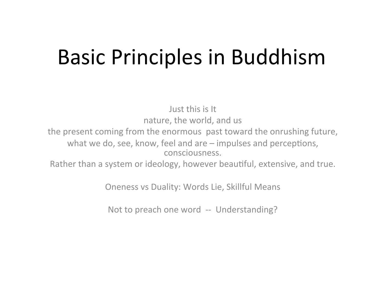#### Basic Principles in Buddhism

Just this is It nature, the world, and us

the present coming from the enormous past toward the onrushing future, what we do, see, know, feel and are  $-$  impulses and perceptions, consciousness. 

Rather than a system or ideology, however beautiful, extensive, and true.

Oneness vs Duality: Words Lie, Skillful Means

Not to preach one word -- Understanding?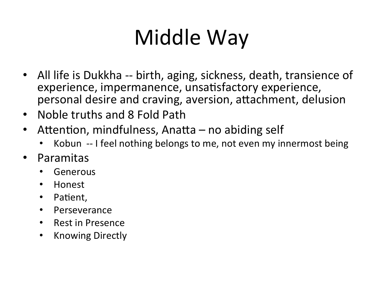# Middle Way

- All life is Dukkha -- birth, aging, sickness, death, transience of experience, impermanence, unsatisfactory experience, personal desire and craving, aversion, attachment, delusion
- Noble truths and 8 Fold Path
- Attention, mindfulness, Anatta  $-$  no abiding self
	- Kobun -- I feel nothing belongs to me, not even my innermost being
- Paramitas
	- Generous
	- Honest
	- Patient,
	- Perseverance
	- Rest in Presence
	- Knowing Directly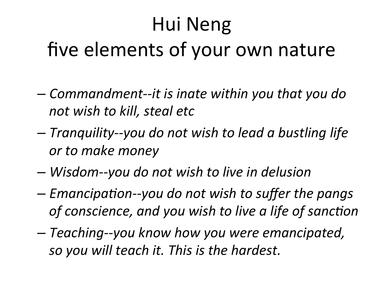## Hui Neng five elements of your own nature

- $-$  *Commandment--it is inate within you that you do not wish to kill, steal etc*
- *Tranquility--you do not wish to lead a bustling life*  or to make money
- *Wisdom--you do not wish to live in delusion*
- $-$  *Emancipation--you do not wish to suffer the pangs* of conscience, and you wish to live a life of sanction
- *Teaching--you know how you were emancipated, so you will teach it. This is the hardest.*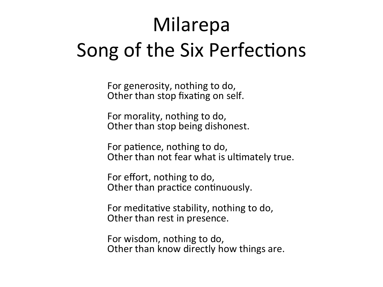#### Milarepa Song of the Six Perfections

For generosity, nothing to do, Other than stop fixating on self.

For morality, nothing to do, Other than stop being dishonest.

For patience, nothing to do, Other than not fear what is ultimately true.

For effort, nothing to do, Other than practice continuously.

For meditative stability, nothing to do, Other than rest in presence.

For wisdom, nothing to do, Other than know directly how things are.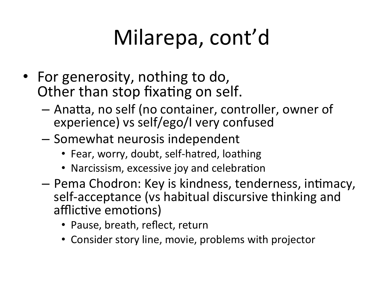- For generosity, nothing to do, Other than stop fixating on self.
	- $-$  Anatta, no self (no container, controller, owner of experience) vs self/ego/I very confused
	- $-$  Somewhat neurosis independent
		- Fear, worry, doubt, self-hatred, loathing
		- Narcissism, excessive joy and celebration
	- $-$  Pema Chodron: Key is kindness, tenderness, intimacy, self-acceptance (vs habitual discursive thinking and afflictive emotions)
		- Pause, breath, reflect, return
		- Consider story line, movie, problems with projector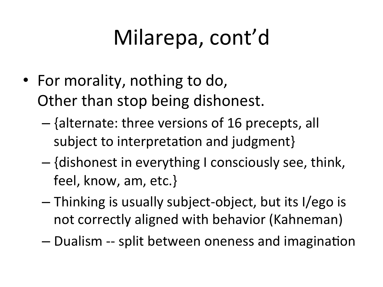- For morality, nothing to do, Other than stop being dishonest.
	- $-$  {alternate: three versions of 16 precepts, all subject to interpretation and judgment}
	- $-$  {dishonest in everything I consciously see, think, feel, know, am, etc.}
	- $-$  Thinking is usually subject-object, but its I/ego is not correctly aligned with behavior (Kahneman)
	- $-$  Dualism -- split between oneness and imagination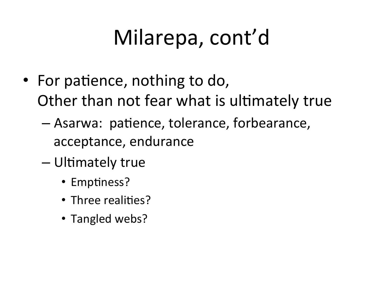- For patience, nothing to do, Other than not fear what is ultimately true
	- Asarwa: patience, tolerance, forbearance, acceptance, endurance
	- Ultimately true
		- Emptiness?
		- Three realities?
		- Tangled webs?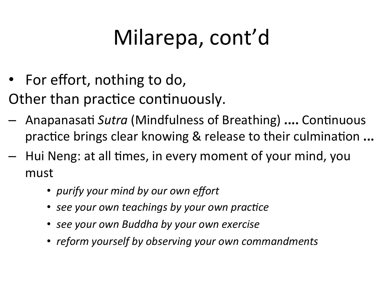- For effort, nothing to do,
- Other than practice continuously.
- Anapanasati Sutra (Mindfulness of Breathing) .... Continuous practice brings clear knowing & release to their culmination ...
- Hui Neng: at all times, in every moment of your mind, you must
	- purify your mind by our own effort
	- see your own teachings by your own practice
	- see your own Buddha by your own exercise
	- reform yourself by observing your own commandments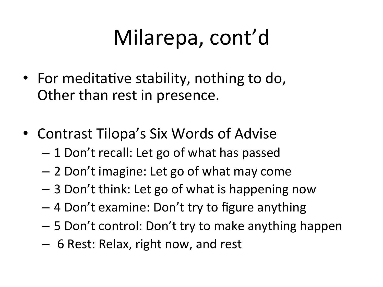- For meditative stability, nothing to do, Other than rest in presence.
- Contrast Tilopa's Six Words of Advise
	- 1 Don't recall: Let go of what has passed
	- $-$  2 Don't imagine: Let go of what may come
	- $-$  3 Don't think: Let go of what is happening now
	- $-$  4 Don't examine: Don't try to figure anything
	- $-5$  Don't control: Don't try to make anything happen
	- $-$  6 Rest: Relax, right now, and rest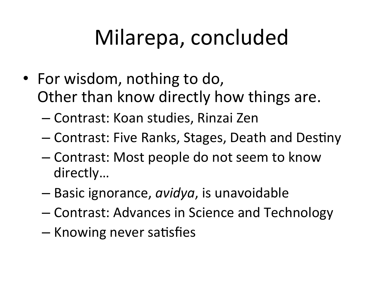## Milarepa, concluded

- For wisdom, nothing to do, Other than know directly how things are.
	- Contrast: Koan studies, Rinzai Zen
	- Contrast: Five Ranks, Stages, Death and Destiny
	- Contrast: Most people do not seem to know directly...
	- Basic ignorance, *avidya*, is unavoidable
	- Contrast: Advances in Science and Technology
	- Knowing never satisfies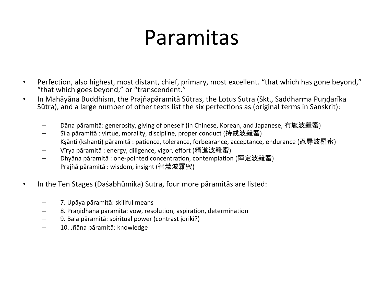#### Paramitas

- Perfection, also highest, most distant, chief, primary, most excellent. "that which has gone beyond," "that which goes beyond," or "transcendent."
- In Mahāyāna Buddhism, the Prajñapāramitā Sūtras, the Lotus Sutra (Skt., Saddharma Pundarīka Sūtra), and a large number of other texts list the six perfections as (original terms in Sanskrit):
	- Dāna pāramitā: generosity, giving of oneself (in Chinese, Korean, and Japanese, 布施波羅蜜)
	- Sīla pāramitā : virtue, morality, discipline, proper conduct (持戒波羅蜜)
	- Ksānti (kshanti) pāramitā : patience, tolerance, forbearance, acceptance, endurance (忍辱波羅蜜)
	- Vīrya pāramitā : energy, diligence, vigor, effort (精進波羅蜜)
	- Dhyāna pāramitā : one-pointed concentration, contemplation (禪定波羅蜜)
	- Prajñā pāramitā : wisdom, insight (智慧波羅蜜)
- In the Ten Stages (Daśabhūmika) Sutra, four more pāramitās are listed:
	- 7. Upāya pāramitā: skillful means
	- 8. Praṇidhāna pāramitā: vow, resolution, aspiration, determination
	- 9. Bala pāramitā: spiritual power (contrast joriki?)
	- 10. Jñāna pāramitā: knowledge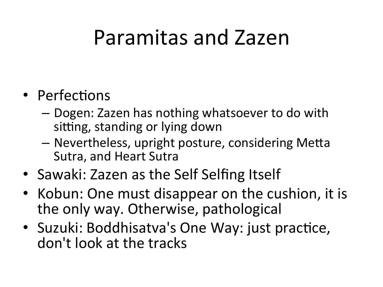#### Paramitas and Zazen

#### • Perfections

- $-$  Dogen: Zazen has nothing whatsoever to do with sitting, standing or lying down
- Nevertheless, upright posture, considering Metta Sutra, and Heart Sutra
- Sawaki: Zazen as the Self Selfing Itself
- Kobun: One must disappear on the cushion, it is the only way. Otherwise, pathological
- Suzuki: Boddhisatva's One Way: just practice, don't look at the tracks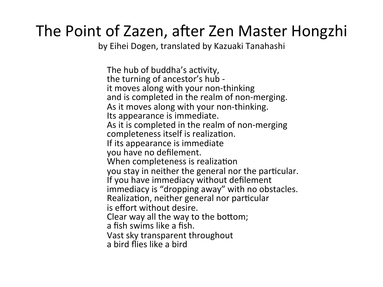#### The Point of Zazen, after Zen Master Hongzhi

by Eihei Dogen, translated by Kazuaki Tanahashi

The hub of buddha's activity, the turning of ancestor's hub it moves along with your non-thinking and is completed in the realm of non-merging. As it moves along with your non-thinking. Its appearance is immediate. As it is completed in the realm of non-merging completeness itself is realization. If its appearance is immediate you have no defilement. When completeness is realization you stay in neither the general nor the particular. If you have immediacy without defilement immediacy is "dropping away" with no obstacles. Realization, neither general nor particular is effort without desire. Clear way all the way to the bottom; a fish swims like a fish. Vast sky transparent throughout a bird flies like a bird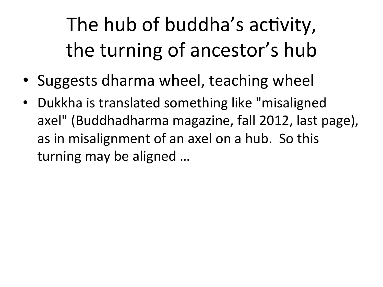The hub of buddha's activity, the turning of ancestor's hub

- Suggests dharma wheel, teaching wheel
- Dukkha is translated something like "misaligned axel" (Buddhadharma magazine, fall 2012, last page), as in misalignment of an axel on a hub. So this turning may be aligned ...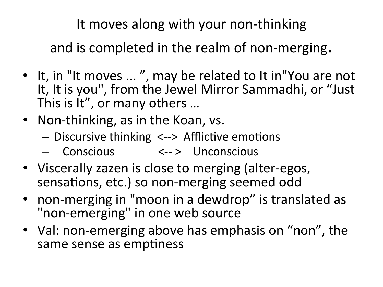It moves along with your non-thinking

and is completed in the realm of non-merging.

- It, in "It moves ...", may be related to It in "You are not It, It is you", from the Jewel Mirror Sammadhi, or "Just This is It", or many others ...
- Non-thinking, as in the Koan, vs.
	- $-$  Discursive thinking  $\langle -2 \rangle$  Afflictive emotions
	- Conscious <--> Unconscious
- Viscerally zazen is close to merging (alter-egos, sensations, etc.) so non-merging seemed odd
- non-merging in "moon in a dewdrop" is translated as "non-emerging" in one web source
- Val: non-emerging above has emphasis on "non", the same sense as emptiness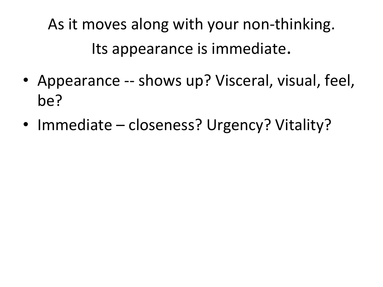As it moves along with your non-thinking. Its appearance is immediate.

- Appearance -- shows up? Visceral, visual, feel, be?
- Immediate closeness? Urgency? Vitality?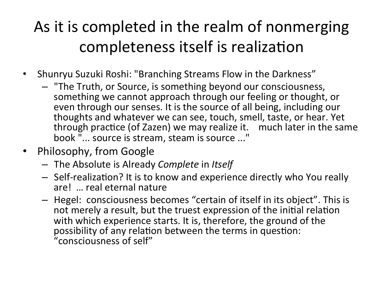#### As it is completed in the realm of nonmerging completeness itself is realization

- Shunryu Suzuki Roshi: "Branching Streams Flow in the Darkness"
	- $-$  "The Truth, or Source, is something beyond our consciousness, something we cannot approach through our feeling or thought, or even through our senses. It is the source of all being, including our thoughts and whatever we can see, touch, smell, taste, or hear. Yet through practice (of Zazen) we may realize it. much later in the same book "... source is stream, steam is source ..."
- Philosophy, from Google
	- $-$  The Absolute is Already *Complete* in *Itself*
	- $-$  Self-realization? It is to know and experience directly who You really are! ... real eternal nature
	- $-$  Hegel: consciousness becomes "certain of itself in its object". This is not merely a result, but the truest expression of the initial relation with which experience starts. It is, therefore, the ground of the possibility of any relation between the terms in question: "consciousness of self"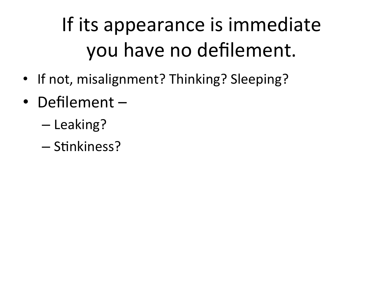### If its appearance is immediate you have no defilement.

- If not, misalignment? Thinking? Sleeping?
- Defilement -
	- Leaking?
	- Stinkiness?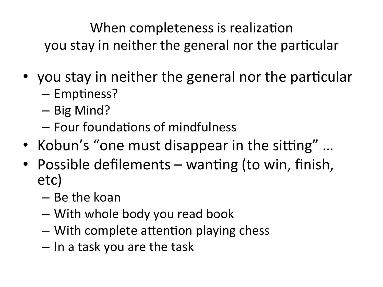When completeness is realization you stay in neither the general nor the particular

- you stay in neither the general nor the particular
	- Emptiness?
	- Big Mind?
	- Four foundations of mindfulness
- Kobun's "one must disappear in the sitting"...
- Possible defilements wanting (to win, finish, etc)
	- Be the koan
	- With whole body you read book
	- With complete attention playing chess
	- In a task you are the task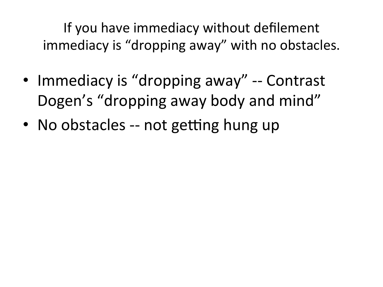If you have immediacy without defilement immediacy is "dropping away" with no obstacles.

- Immediacy is "dropping away" -- Contrast Dogen's "dropping away body and mind"
- No obstacles -- not getting hung up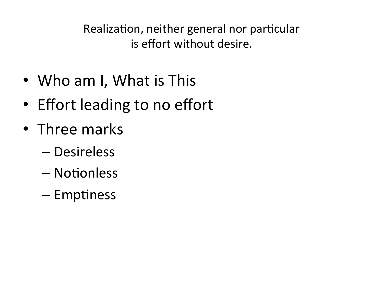Realization, neither general nor particular is effort without desire.

- Who am I, What is This
- Effort leading to no effort
- Three marks
	- Desireless
	- Notionless
	- Emptiness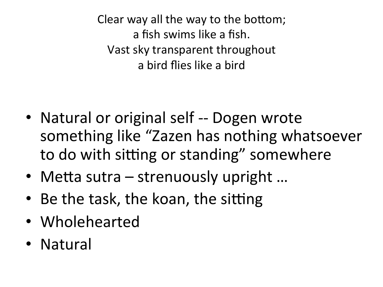Clear way all the way to the bottom; a fish swims like a fish. Vast sky transparent throughout a bird flies like a bird

- Natural or original self -- Dogen wrote something like "Zazen has nothing whatsoever to do with sitting or standing" somewhere
- Metta sutra  $-$  strenuously upright  $\ldots$
- Be the task, the koan, the sitting
- Wholehearted
- Natural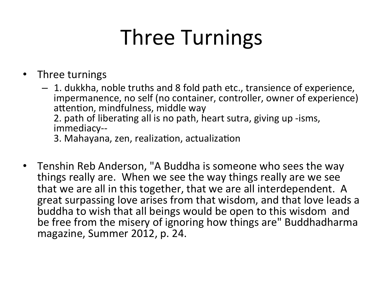## Three Turnings

- Three turnings
	- $-1$ . dukkha, noble truths and 8 fold path etc., transience of experience, impermanence, no self (no container, controller, owner of experience) attention, mindfulness, middle way 2. path of liberating all is no path, heart sutra, giving up -isms, immediacy-- 3. Mahayana, zen, realization, actualization
- Tenshin Reb Anderson, "A Buddha is someone who sees the way things really are. When we see the way things really are we see that we are all in this together, that we are all interdependent. A great surpassing love arises from that wisdom, and that love leads a buddha to wish that all beings would be open to this wisdom and be free from the misery of ignoring how things are" Buddhadharma magazine, Summer 2012, p. 24.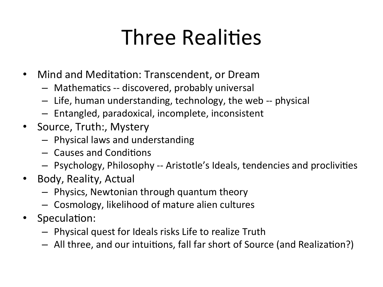## **Three Realities**

- Mind and Meditation: Transcendent, or Dream
	- $-$  Mathematics -- discovered, probably universal
	- $-$  Life, human understanding, technology, the web -- physical
	- $-$  Entangled, paradoxical, incomplete, inconsistent
- Source, Truth:, Mystery
	- $-$  Physical laws and understanding
	- $-$  Causes and Conditions
	- $-$  Psychology, Philosophy -- Aristotle's Ideals, tendencies and proclivities
- Body, Reality, Actual
	- $-$  Physics, Newtonian through quantum theory
	- $-$  Cosmology, likelihood of mature alien cultures
- Speculation:
	- $-$  Physical quest for Ideals risks Life to realize Truth
	- $-$  All three, and our intuitions, fall far short of Source (and Realization?)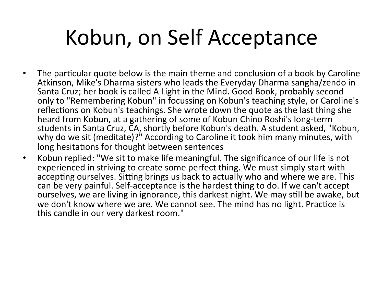## Kobun, on Self Acceptance

- The particular quote below is the main theme and conclusion of a book by Caroline Atkinson, Mike's Dharma sisters who leads the Everyday Dharma sangha/zendo in Santa Cruz; her book is called A Light in the Mind. Good Book, probably second only to "Remembering Kobun" in focussing on Kobun's teaching style, or Caroline's reflections on Kobun's teachings. She wrote down the quote as the last thing she heard from Kobun, at a gathering of some of Kobun Chino Roshi's long-term students in Santa Cruz, CA, shortly before Kobun's death. A student asked, "Kobun,<br>why do we sit (meditate)?" According to Caroline it took him many minutes, with long hesitations for thought between sentences
- Kobun replied: "We sit to make life meaningful. The significance of our life is not experienced in striving to create some perfect thing. We must simply start with accepting ourselves. Sitting brings us back to actually who and where we are. This can be very painful. Self-acceptance is the hardest thing to do. If we can't accept ourselves, we are living in ignorance, this darkest night. We may still be awake, but we don't know where we are. We cannot see. The mind has no light. Practice is this candle in our very darkest room."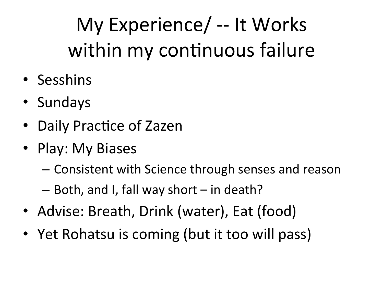## My Experience/ -- It Works within my continuous failure

- Sesshins
- Sundays
- Daily Practice of Zazen
- Play: My Biases
	- Consistent with Science through senses and reason
	- $-$  Both, and I, fall way short  $-$  in death?
- Advise: Breath, Drink (water), Eat (food)
- Yet Rohatsu is coming (but it too will pass)